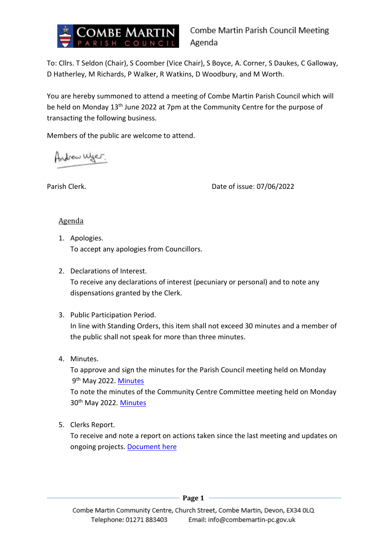

To: Cllrs. T Seldon (Chair), S Coomber (Vice Chair), S Boyce, A. Corner, S Daukes, C Galloway, D Hatherley, M Richards, P Walker, R Watkins, D Woodbury, and M Worth.

You are hereby summoned to attend a meeting of Combe Martin Parish Council which will be held on Monday 13<sup>th</sup> June 2022 at 7pm at the Community Centre for the purpose of transacting the following business.

Members of the public are welcome to attend.

Andrew Wyer.

Parish Clerk. Date of issue: 07/06/2022

### Agenda

- 1. Apologies. To accept any apologies from Councillors.
- 2. Declarations of Interest. To receive any declarations of interest (pecuniary or personal) and to note any dispensations granted by the Clerk.
- 3. Public Participation Period. In line with Standing Orders, this item shall not exceed 30 minutes and a member of the public shall not speak for more than three minutes.
- 4. Minutes.

To approve and sign the minutes for the Parish Council meeting held on Monday 9<sup>th</sup> May 2022. <mark>[Minutes](https://combemartinpc.sharepoint.com/:w:/s/CouncilDocuments/ES5fo9EYpaNNvAk8Jgl1968BT9QND3fB72lm-b68q6Mp_g?e=82dRvH)</mark> To note the minutes of the Community Centre Committee meeting held on Monday 30th May 2022. [Minutes](https://combemartinpc.sharepoint.com/:w:/s/CouncilDocuments/EQpqcAM0GFVCgnMokqbLKBABPhpL1A7L0haepNiZG4cSvQ?e=WsjIKL)

5. Clerks Report.

To receive and note a report on actions taken since the last meeting and updates on ongoing projects. [Document here](https://combemartinpc.sharepoint.com/:w:/s/CouncilDocuments/ESdvucBmM-NDnO5MbB1ZB4YBkbg8F3BbQ7cBsFGSu6oLtw?e=dMIYKr)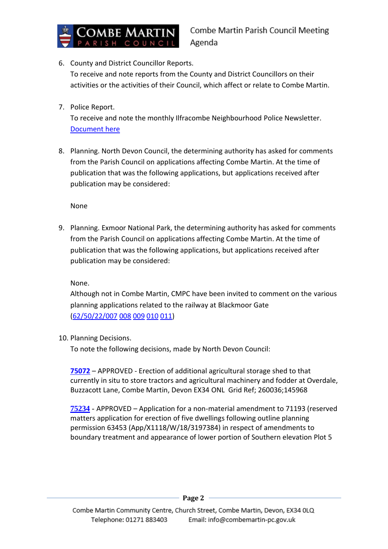

6. County and District Councillor Reports.

To receive and note reports from the County and District Councillors on their activities or the activities of their Council, which affect or relate to Combe Martin.

7. Police Report.

To receive and note the monthly Ilfracombe Neighbourhood Police Newsletter. [Document here](https://combemartinpc.sharepoint.com/:b:/s/CouncilDocuments/EfUH3F6cHCFMl7eYrF6Hr98BXsJWXFc4lE4YoCutNhJKEA?e=fWKnRK)

8. Planning. North Devon Council, the determining authority has asked for comments from the Parish Council on applications affecting Combe Martin. At the time of publication that was the following applications, but applications received after publication may be considered:

None

9. Planning. Exmoor National Park, the determining authority has asked for comments from the Parish Council on applications affecting Combe Martin. At the time of publication that was the following applications, but applications received after publication may be considered:

None.

Although not in Combe Martin, CMPC have been invited to comment on the various planning applications related to the railway at Blackmoor Gate [\(62/50/22/007](https://planning.agileapplications.co.uk/exmoor/application-details/23263) [008](https://planning.agileapplications.co.uk/exmoor/application-details/23264) [009](https://planning.agileapplications.co.uk/exmoor/application-details/23265) [010](https://planning.agileapplications.co.uk/exmoor/application-details/23266) [011\)](https://planning.agileapplications.co.uk/exmoor/application-details/23268)

10. Planning Decisions.

To note the following decisions, made by North Devon Council:

**[75072](https://planning.northdevon.gov.uk/Planning/Display/75072)** – APPROVED - Erection of additional agricultural storage shed to that currently in situ to store tractors and agricultural machinery and fodder at Overdale, Buzzacott Lane, Combe Martin, Devon EX34 ONL Grid Ref; 260036;145968

**[75234](https://planning.northdevon.gov.uk/Planning/Display/75234)** - APPROVED – Application for a non-material amendment to 71193 (reserved matters application for erection of five dwellings following outline planning permission 63453 (App/X1118/W/18/3197384) in respect of amendments to boundary treatment and appearance of lower portion of Southern elevation Plot 5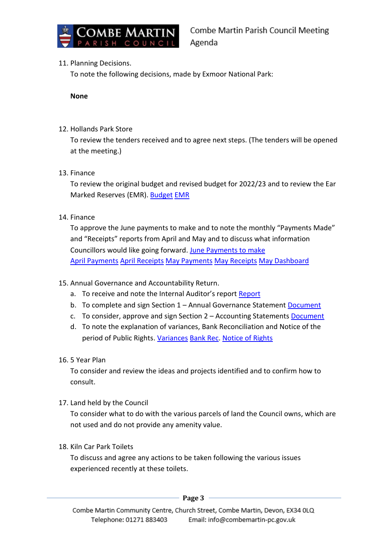

# 11. Planning Decisions.

To note the following decisions, made by Exmoor National Park:

**None**

## 12. Hollands Park Store

To review the tenders received and to agree next steps. (The tenders will be opened at the meeting.)

### 13. Finance

To review the original budget and revised budget for 2022/23 and to review the Ear Marked Reserves (EMR). [Budget](https://combemartinpc.sharepoint.com/:x:/s/CouncilDocuments/ER_WkMu1U3BNkQKDSEWT2_IBAX3zKXkcowclSXzhRTXW7A?e=T51Dv7) [EMR](https://combemartinpc.sharepoint.com/:x:/s/CouncilDocuments/EQyhphSwyR5PpFJ_lDgLAQMBBWviHAYLhxDjK_OB-rA7Pw?e=K5H1SE)

### 14. Finance

To approve the June payments to make and to note the monthly "Payments Made" and "Receipts" reports from April and May and to discuss what information Councillors would like going forward. [June Payments](https://combemartinpc.sharepoint.com/:b:/s/CouncilDocuments/Eb5XEZpgzdlCi7IN0f_H1xUBXPMcvuJQmmdpYFxmB--6iw?e=tUPkdn) to make [April Payments](https://combemartinpc.sharepoint.com/:b:/s/CouncilDocuments/EX0ADE_oNMRDhoAIWfjIzVsBN9mIQ6dv93rZzaY5qBpWAg?e=oySEZC) [April Receipts](https://combemartinpc.sharepoint.com/:b:/s/CouncilDocuments/EaLYUbsLDjtOnDDZxijUxwQBr5lE9F8_TMlGbXDG8SHxPw?e=jEbkjq) [May Payments](https://combemartinpc.sharepoint.com/:b:/s/CouncilDocuments/EYDnb7RGZTNLvjI6jBnv3-wBH-EKwRFRWO-cOPRqaeMEyA?e=jwxHdu) [May Receipts](https://combemartinpc.sharepoint.com/:b:/s/CouncilDocuments/EdqosYF9yfFOiMMSaa5pVzsBz37odQPTDmwEUobjK6oZuQ?e=CSXfzt) [May Dashboard](https://combemartinpc.sharepoint.com/:b:/s/CouncilDocuments/EZSTD4aB61xPsLNCPFUfnnIBHMfxwaogtK-I6hSDEhjVvg?e=FDs2Ps)

# 15. Annual Governance and Accountability Return.

- a. To receive and note the Internal Auditor's report [Report](https://combemartinpc.sharepoint.com/:b:/s/CouncilDocuments/EXJztoJhhPJAtrHhY_9_5tQBEaUjV0fYJ4uDbfDNpy-0Qg?e=LMXxQZ)
- b. To complete and sign Section 1 Annual Governance Statement [Document](https://combemartinpc.sharepoint.com/:b:/s/CouncilDocuments/EagxI2o4xclInj_ERWtT8o4Bv9njgDNabxWv1zuBGSJKKA?e=i1LxZx)
- c. To consider, approve and sign Section 2 Accounting Statements [Document](https://combemartinpc.sharepoint.com/:b:/s/CouncilDocuments/EdrCKSdQWXBEtWBbDN8AhkUBtINbs5OBuWoNPtVxJOg96Q?e=aH35He)
- d. To note the explanation of variances, Bank Reconciliation and Notice of the period of Public Rights. [Variances](https://combemartinpc.sharepoint.com/:x:/s/CouncilDocuments/EdvQ01xIMm9EpCRz0dJeNmwBRRd-NKTliTBC7K_d-LZxuw?e=0baJ1E) [Bank Rec.](https://combemartinpc.sharepoint.com/:x:/s/CouncilDocuments/Eb4HQdNTsn9LuNm8kO43phEBQdHE49aX4Ui8ywdFaiWTbg?e=bzvSXq) [Notice of Rights](https://combemartinpc.sharepoint.com/:b:/s/CouncilDocuments/EfcqefbDKMdCqqleim0BiZQBAaFoC47A7W02PanfcCa4fQ?e=gUg3Wb)

# 16. 5 Year Plan

To consider and review the ideas and projects identified and to confirm how to consult.

17. Land held by the Council

To consider what to do with the various parcels of land the Council owns, which are not used and do not provide any amenity value.

# 18. Kiln Car Park Toilets

To discuss and agree any actions to be taken following the various issues experienced recently at these toilets.